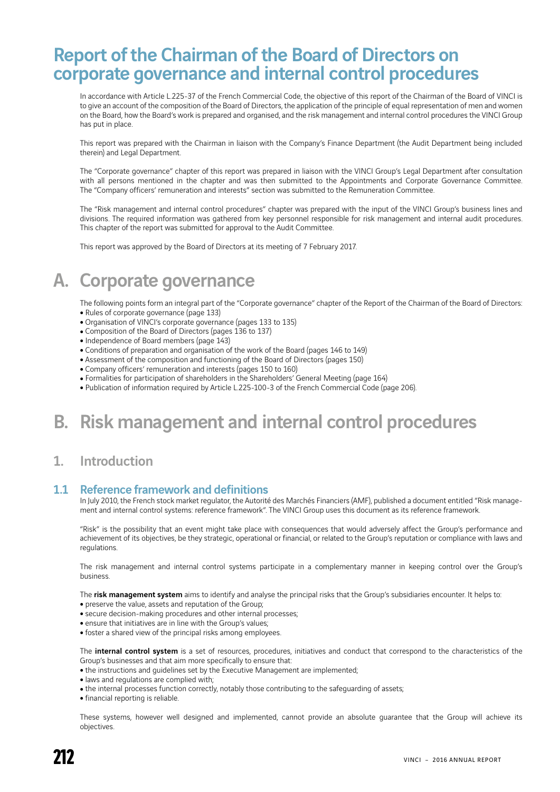# Report of the Chairman of the Board of Directors on corporate governance and internal control procedures

In accordance with Article L.225-37 of the French Commercial Code, the objective of this report of the Chairman of the Board of VINCI is to give an account of the composition of the Board of Directors, the application of the principle of equal representation of men and women on the Board, how the Board's work is prepared and organised, and the risk management and internal control procedures the VINCI Group has put in place.

This report was prepared with the Chairman in liaison with the Company's Finance Department (the Audit Department being included therein) and Legal Department.

The "Corporate governance" chapter of this report was prepared in liaison with the VINCI Group's Legal Department after consultation with all persons mentioned in the chapter and was then submitted to the Appointments and Corporate Governance Committee. The "Company officers' remuneration and interests" section was submitted to the Remuneration Committee.

The "Risk management and internal control procedures" chapter was prepared with the input of the VINCI Group's business lines and divisions. The required information was gathered from key personnel responsible for risk management and internal audit procedures. This chapter of the report was submitted for approval to the Audit Committee.

This report was approved by the Board of Directors at its meeting of 7 February 2017.

# A. Corporate governance

The following points form an integral part of the "Corporate governance" chapter of the Report of the Chairman of the Board of Directors: • Rules of corporate governance (page 133)

- Organisation of VINCI's corporate governance (pages 133 to 135)
- Composition of the Board of Directors (pages 136 to 137)
- Independence of Board members (page 143)
- Conditions of preparation and organisation of the work of the Board (pages 146 to 149)
- Assessment of the composition and functioning of the Board of Directors (pages 150)
- Company officers' remuneration and interests (pages 150 to 160)
- <sup>ˇ</sup> Formalities for participation of shareholders in the Shareholders' General Meeting (page 164)
- Publication of information required by Article L.225-100-3 of the French Commercial Code (page 206).

# B. Risk management and internal control procedures

## 1. Introduction

### 1.1 Reference framework and definitions

In July 2010, the French stock market regulator, the Autorité des Marchés Financiers (AMF), published a document entitled "Risk management and internal control systems: reference framework". The VINCI Group uses this document as its reference framework.

"Risk" is the possibility that an event might take place with consequences that would adversely affect the Group's performance and achievement of its objectives, be they strategic, operational or financial, or related to the Group's reputation or compliance with laws and regulations.

The risk management and internal control systems participate in a complementary manner in keeping control over the Group's business.

The risk management system aims to identify and analyse the principal risks that the Group's subsidiaries encounter. It helps to:

- preserve the value, assets and reputation of the Group;
- secure decision-making procedures and other internal processes;
- ensure that initiatives are in line with the Group's values;
- foster a shared view of the principal risks among employees.

The internal control system is a set of resources, procedures, initiatives and conduct that correspond to the characteristics of the Group's businesses and that aim more specifically to ensure that:

- the instructions and guidelines set by the Executive Management are implemented;
- laws and regulations are complied with;
- the internal processes function correctly, notably those contributing to the safequarding of assets;
- financial reporting is reliable.

These systems, however well designed and implemented, cannot provide an absolute guarantee that the Group will achieve its objectives.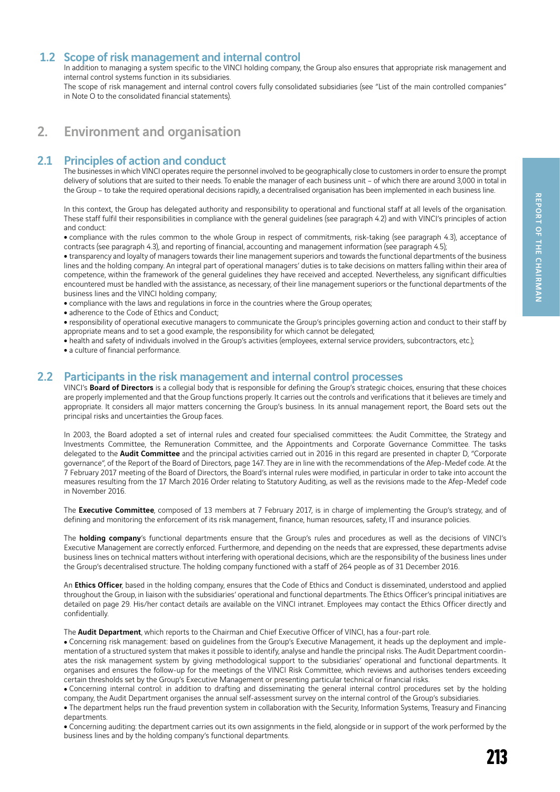### 1.2 Scope of risk management and internal control

In addition to managing a system specific to the VINCI holding company, the Group also ensures that appropriate risk management and internal control systems function in its subsidiaries.

The scope of risk management and internal control covers fully consolidated subsidiaries (see "List of the main controlled companies" in Note O to the consolidated financial statements).

## 2. Environment and organisation

### 2.1 Principles of action and conduct

The businesses in which VINCI operates require the personnel involved to be geographically close to customers in order to ensure the prompt delivery of solutions that are suited to their needs. To enable the manager of each business unit – of which there are around 3,000 in total in the Group – to take the required operational decisions rapidly, a decentralised organisation has been implemented in each business line.

In this context, the Group has delegated authority and responsibility to operational and functional staff at all levels of the organisation. These staff fulfil their responsibilities in compliance with the general guidelines (see paragraph 4.2) and with VINCI's principles of action and conduct:

• compliance with the rules common to the whole Group in respect of commitments, risk-taking (see paragraph 4.3), acceptance of contracts (see paragraph 4.3), and reporting of financial, accounting and management information (see paragraph 4.5);

• transparency and loyalty of managers towards their line management superiors and towards the functional departments of the business lines and the holding company. An integral part of operational managers' duties is to take decisions on matters falling within their area of competence, within the framework of the general guidelines they have received and accepted. Nevertheless, any significant difficulties encountered must be handled with the assistance, as necessary, of their line management superiors or the functional departments of the business lines and the VINCI holding company;

- compliance with the laws and regulations in force in the countries where the Group operates;
- adherence to the Code of Ethics and Conduct;
- <sup>ˇ</sup> responsibility of operational executive managers to communicate the Group's principles governing action and conduct to their staff by appropriate means and to set a good example, the responsibility for which cannot be delegated;
- health and safety of individuals involved in the Group's activities (employees, external service providers, subcontractors, etc.);
- a culture of financial performance.

### 2.2 Participants in the risk management and internal control processes

VINCI's Board of Directors is a collegial body that is responsible for defining the Group's strategic choices, ensuring that these choices are properly implemented and that the Group functions properly. It carries out the controls and verifications that it believes are timely and appropriate. It considers all major matters concerning the Group's business. In its annual management report, the Board sets out the principal risks and uncertainties the Group faces.

In 2003, the Board adopted a set of internal rules and created four specialised committees: the Audit Committee, the Strategy and Investments Committee, the Remuneration Committee, and the Appointments and Corporate Governance Committee. The tasks delegated to the **Audit Committee** and the principal activities carried out in 2016 in this regard are presented in chapter D, "Corporate governance", of the Report of the Board of Directors, page 147. They are in line with the recommendations of the Afep-Medef code. At the 7 February 2017 meeting of the Board of Directors, the Board's internal rules were modified, in particular in order to take into account the measures resulting from the 17 March 2016 Order relating to Statutory Auditing, as well as the revisions made to the Afep-Medef code in November 2016.

The Executive Committee, composed of 13 members at 7 February 2017, is in charge of implementing the Group's strategy, and of defining and monitoring the enforcement of its risk management, finance, human resources, safety, IT and insurance policies.

The **holding company**'s functional departments ensure that the Group's rules and procedures as well as the decisions of VINCI's Executive Management are correctly enforced. Furthermore, and depending on the needs that are expressed, these departments advise business lines on technical matters without interfering with operational decisions, which are the responsibility of the business lines under the Group's decentralised structure. The holding company functioned with a staff of 264 people as of 31 December 2016.

An Ethics Officer, based in the holding company, ensures that the Code of Ethics and Conduct is disseminated, understood and applied throughout the Group, in liaison with the subsidiaries' operational and functional departments. The Ethics Officer's principal initiatives are detailed on page 29. His/her contact details are available on the VINCI intranet. Employees may contact the Ethics Officer directly and confidentially.

The Audit Department, which reports to the Chairman and Chief Executive Officer of VINCI, has a four-part role.

• Concerning risk management: based on guidelines from the Group's Executive Management, it heads up the deployment and implementation of a structured system that makes it possible to identify, analyse and handle the principal risks. The Audit Department coordinates the risk management system by giving methodological support to the subsidiaries' operational and functional departments. It organises and ensures the follow-up for the meetings of the VINCI Risk Committee, which reviews and authorises tenders exceeding certain thresholds set by the Group's Executive Management or presenting particular technical or financial risks.

• Concerning internal control: in addition to drafting and disseminating the general internal control procedures set by the holding company, the Audit Department organises the annual self-assessment survey on the internal control of the Group's subsidiaries.

• The department helps run the fraud prevention system in collaboration with the Security, Information Systems, Treasury and Financing departments.

• Concerning auditing: the department carries out its own assignments in the field, alongside or in support of the work performed by the business lines and by the holding company's functional departments.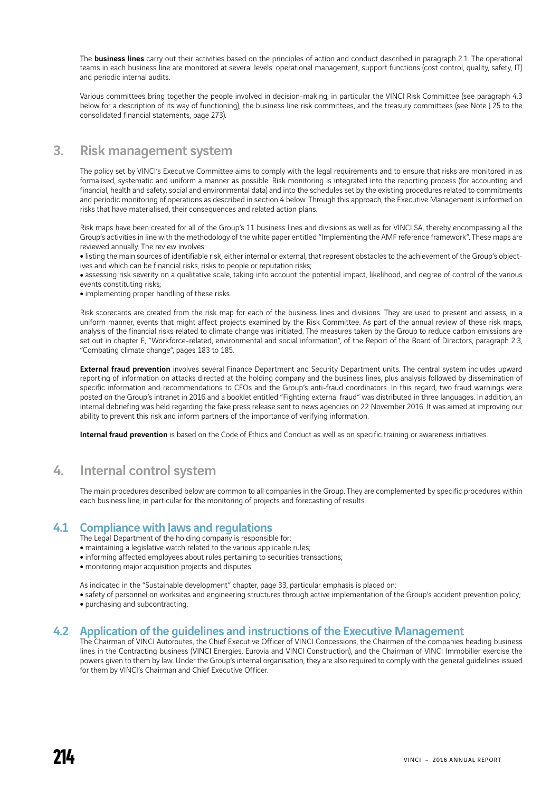The **business lines** carry out their activities based on the principles of action and conduct described in paragraph 2.1. The operational teams in each business line are monitored at several levels: operational management, support functions (cost control, quality, safety, IT) and periodic internal audits.

Various committees bring together the people involved in decision-making, in particular the VINCI Risk Committee (see paragraph 4.3 below for a description of its way of functioning), the business line risk committees, and the treasury committees (see Note J.25 to the consolidated financial statements, page 273).

## 3. Risk management system

The policy set by VINCI's Executive Committee aims to comply with the legal requirements and to ensure that risks are monitored in as formalised, systematic and uniform a manner as possible. Risk monitoring is integrated into the reporting process (for accounting and financial, health and safety, social and environmental data) and into the schedules set by the existing procedures related to commitments and periodic monitoring of operations as described in section 4 below. Through this approach, the Executive Management is informed on risks that have materialised, their consequences and related action plans.

Risk maps have been created for all of the Group's 11 business lines and divisions as well as for VINCI SA, thereby encompassing all the Group's activities in line with the methodology of the white paper entitled "Implementing the AMF reference framework". These maps are reviewed annually. The review involves:

• listing the main sources of identifiable risk, either internal or external, that represent obstacles to the achievement of the Group's objectives and which can be financial risks, risks to people or reputation risks;

• assessing risk severity on a qualitative scale, taking into account the potential impact, likelihood, and degree of control of the various events constituting risks;

• implementing proper handling of these risks.

Risk scorecards are created from the risk map for each of the business lines and divisions. They are used to present and assess, in a uniform manner, events that might affect projects examined by the Risk Committee. As part of the annual review of these risk maps, analysis of the financial risks related to climate change was initiated. The measures taken by the Group to reduce carbon emissions are set out in chapter E, "Workforce-related, environmental and social information", of the Report of the Board of Directors, paragraph 2.3, "Combating climate change", pages 183 to 185.

External fraud prevention involves several Finance Department and Security Department units. The central system includes upward reporting of information on attacks directed at the holding company and the business lines, plus analysis followed by dissemination of specific information and recommendations to CFOs and the Group's anti-fraud coordinators. In this regard, two fraud warnings were posted on the Group's intranet in 2016 and a booklet entitled "Fighting external fraud" was distributed in three languages. In addition, an internal debriefing was held regarding the fake press release sent to news agencies on 22 November 2016. It was aimed at improving our ability to prevent this risk and inform partners of the importance of verifying information.

Internal fraud prevention is based on the Code of Ethics and Conduct as well as on specific training or awareness initiatives.

## 4. Internal control system

The main procedures described below are common to all companies in the Group. They are complemented by specific procedures within each business line, in particular for the monitoring of projects and forecasting of results.

### 4.1 Compliance with laws and regulations

The Legal Department of the holding company is responsible for:

- maintaining a legislative watch related to the various applicable rules;
- informing affected employees about rules pertaining to securities transactions;
- monitoring major acquisition projects and disputes.

As indicated in the "Sustainable development" chapter, page 33, particular emphasis is placed on:

- safety of personnel on worksites and engineering structures through active implementation of the Group's accident prevention policy;
- purchasing and subcontracting.

#### 4.2 Application of the guidelines and instructions of the Executive Management

The Chairman of VINCI Autoroutes, the Chief Executive Officer of VINCI Concessions, the Chairmen of the companies heading business lines in the Contracting business (VINCI Energies, Eurovia and VINCI Construction), and the Chairman of VINCI Immobilier exercise the powers given to them by law. Under the Group's internal organisation, they are also required to comply with the general guidelines issued for them by VINCI's Chairman and Chief Executive Officer.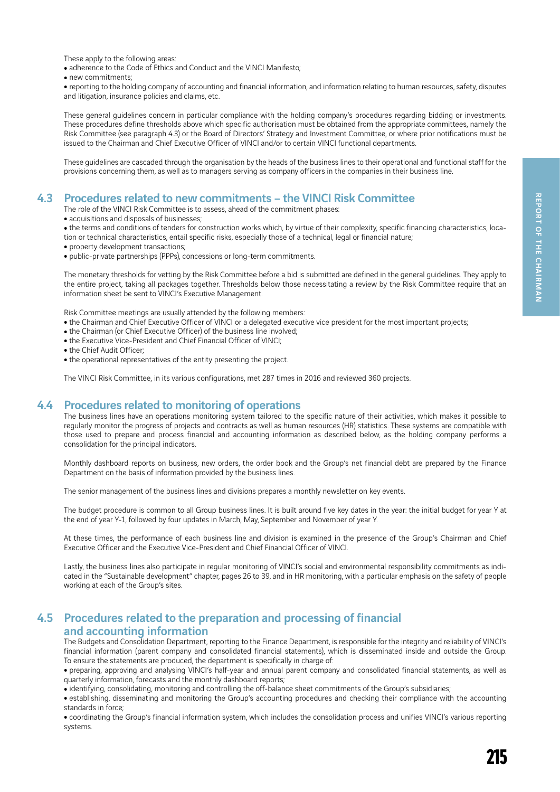These apply to the following areas:

• adherence to the Code of Ethics and Conduct and the VINCI Manifesto;

• new commitments;

<sup>ˇ</sup> reporting to the holding company of accounting and financial information, and information relating to human resources, safety, disputes and litigation, insurance policies and claims, etc.

These general guidelines concern in particular compliance with the holding company's procedures regarding bidding or investments. These procedures define thresholds above which specific authorisation must be obtained from the appropriate committees, namely the Risk Committee (see paragraph 4.3) or the Board of Directors' Strategy and Investment Committee, or where prior notifications must be issued to the Chairman and Chief Executive Officer of VINCI and/or to certain VINCI functional departments.

These guidelines are cascaded through the organisation by the heads of the business lines to their operational and functional staff for the provisions concerning them, as well as to managers serving as company officers in the companies in their business line.

#### 4.3 Procedures related to new commitments – the VINCI Risk Committee

- The role of the VINCI Risk Committee is to assess, ahead of the commitment phases:
- acquisitions and disposals of businesses;

• the terms and conditions of tenders for construction works which, by virtue of their complexity, specific financing characteristics, location or technical characteristics, entail specific risks, especially those of a technical, legal or financial nature;

- property development transactions;
- public-private partnerships (PPPs), concessions or long-term commitments.

The monetary thresholds for vetting by the Risk Committee before a bid is submitted are defined in the general guidelines. They apply to the entire project, taking all packages together. Thresholds below those necessitating a review by the Risk Committee require that an information sheet be sent to VINCI's Executive Management.

Risk Committee meetings are usually attended by the following members:

- the Chairman and Chief Executive Officer of VINCI or a delegated executive vice president for the most important projects;
- the Chairman (or Chief Executive Officer) of the business line involved;
- the Executive Vice-President and Chief Financial Officer of VINCI;
- the Chief Audit Officer:
- the operational representatives of the entity presenting the project.

The VINCI Risk Committee, in its various configurations, met 287 times in 2016 and reviewed 360 projects.

### 4.4 Procedures related to monitoring of operations

The business lines have an operations monitoring system tailored to the specific nature of their activities, which makes it possible to regularly monitor the progress of projects and contracts as well as human resources (HR) statistics. These systems are compatible with those used to prepare and process financial and accounting information as described below, as the holding company performs a consolidation for the principal indicators.

Monthly dashboard reports on business, new orders, the order book and the Group's net financial debt are prepared by the Finance Department on the basis of information provided by the business lines.

The senior management of the business lines and divisions prepares a monthly newsletter on key events.

The budget procedure is common to all Group business lines. It is built around five key dates in the year: the initial budget for year Y at the end of year Y-1, followed by four updates in March, May, September and November of year Y.

At these times, the performance of each business line and division is examined in the presence of the Group's Chairman and Chief Executive Officer and the Executive Vice-President and Chief Financial Officer of VINCI.

Lastly, the business lines also participate in regular monitoring of VINCI's social and environmental responsibility commitments as indicated in the "Sustainable development" chapter, pages 26 to 39, and in HR monitoring, with a particular emphasis on the safety of people working at each of the Group's sites.

### 4.5 Procedures related to the preparation and processing of financial and accounting information

The Budgets and Consolidation Department, reporting to the Finance Department, is responsible for the integrity and reliability of VINCI's financial information (parent company and consolidated financial statements), which is disseminated inside and outside the Group. To ensure the statements are produced, the department is specifically in charge of:

<sup>ˇ</sup> preparing, approving and analysing VINCI's half-year and annual parent company and consolidated financial statements, as well as quarterly information, forecasts and the monthly dashboard reports;

• identifying, consolidating, monitoring and controlling the off-balance sheet commitments of the Group's subsidiaries;

• establishing, disseminating and monitoring the Group's accounting procedures and checking their compliance with the accounting standards in force;

• coordinating the Group's financial information system, which includes the consolidation process and unifies VINCI's various reporting systems.